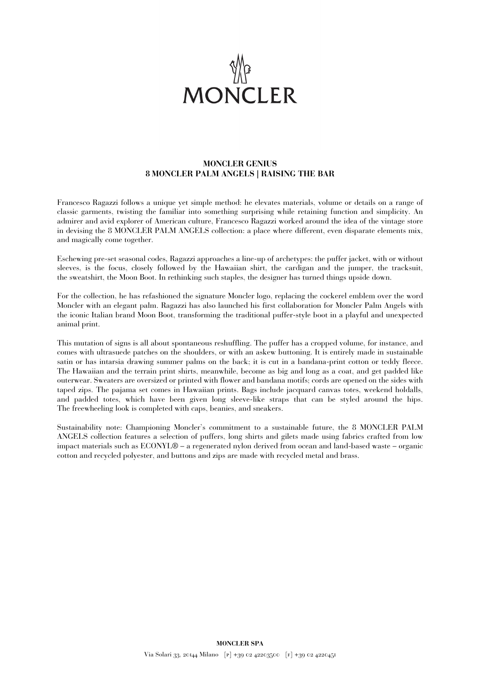

## **MONCLER GENIUS 8 MONCLER PALM ANGELS | RAISING THE BAR**

Francesco Ragazzi follows a unique yet simple method: he elevates materials, volume or details on a range of classic garments, twisting the familiar into something surprising while retaining function and simplicity. An admirer and avid explorer of American culture, Francesco Ragazzi worked around the idea of the vintage store in devising the 8 MONCLER PALM ANGELS collection: a place where different, even disparate elements mix, and magically come together.

Eschewing pre-set seasonal codes, Ragazzi approaches a line-up of archetypes: the puffer jacket, with or without sleeves, is the focus, closely followed by the Hawaiian shirt, the cardigan and the jumper, the tracksuit, the sweatshirt, the Moon Boot. In rethinking such staples, the designer has turned things upside down.

For the collection, he has refashioned the signature Moncler logo, replacing the cockerel emblem over the word Moncler with an elegant palm. Ragazzi has also launched his first collaboration for Moncler Palm Angels with the iconic Italian brand Moon Boot, transforming the traditional puffer-style boot in a playful and unexpected animal print.

This mutation of signs is all about spontaneous reshuffling. The puffer has a cropped volume, for instance, and comes with ultrasuede patches on the shoulders, or with an askew buttoning. It is entirely made in sustainable satin or has intarsia drawing summer palms on the back; it is cut in a bandana-print cotton or teddy fleece. The Hawaiian and the terrain print shirts, meanwhile, become as big and long as a coat, and get padded like outerwear. Sweaters are oversized or printed with flower and bandana motifs; cords are opened on the sides with taped zips. The pajama set comes in Hawaiian prints. Bags include jacquard canvas totes, weekend holdalls, and padded totes, which have been given long sleeve-like straps that can be styled around the hips. The freewheeling look is completed with caps, beanies, and sneakers.

Sustainability note: Championing Moncler's commitment to a sustainable future, the 8 MONCLER PALM ANGELS collection features a selection of puffers, long shirts and gilets made using fabrics crafted from low impact materials such as ECONYL® – a regenerated nylon derived from ocean and land-based waste – organic cotton and recycled polyester, and buttons and zips are made with recycled metal and brass.